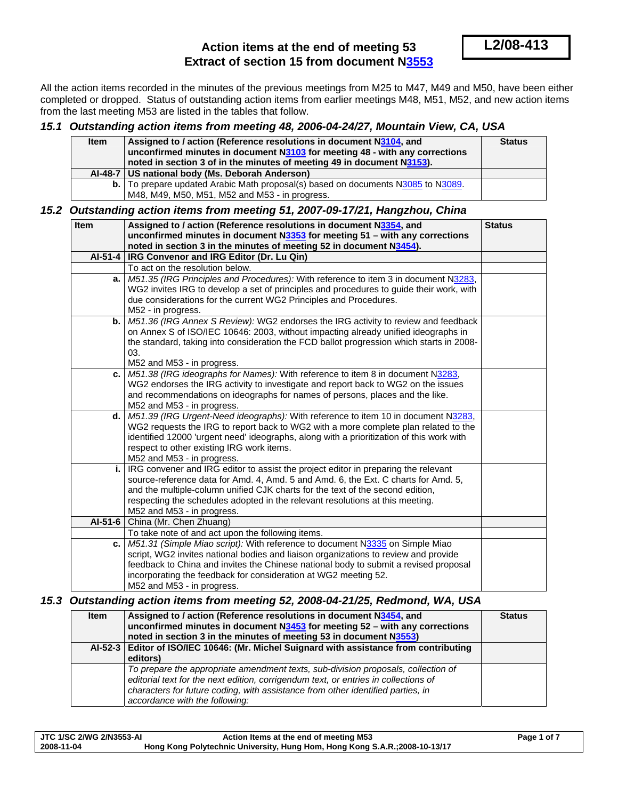# **Action items at the end of meeting 53 Extract of section 15 from document N[3553](http://www.dkuug.dk/jtc1/sc2/wg2/docs/n3553.pdf)**

All the action items recorded in the minutes of the previous meetings from M25 to M47, M49 and M50, have been either completed or dropped. Status of outstanding action items from earlier meetings M48, M51, M52, and new action items from the last meeting M53 are listed in the tables that follow.

### *15.1 Outstanding action items from meeting 48, 2006-04-24/27, Mountain View, CA, USA*

| <b>Item</b> | Assigned to / action (Reference resolutions in document N3104, and                      | <b>Status</b> |
|-------------|-----------------------------------------------------------------------------------------|---------------|
|             | unconfirmed minutes in document N3103 for meeting 48 - with any corrections             |               |
|             | noted in section 3 of in the minutes of meeting 49 in document N3153).                  |               |
|             | AI-48-7   US national body (Ms. Deborah Anderson)                                       |               |
|             | <b>b.</b> To prepare updated Arabic Math proposal(s) based on documents N3085 to N3089. |               |
|             | M48, M49, M50, M51, M52 and M53 - in progress.                                          |               |

## *15.2 Outstanding action items from meeting 51, 2007-09-17/21, Hangzhou, China*

| <b>Item</b> | Assigned to / action (Reference resolutions in document N3354, and<br>unconfirmed minutes in document N3353 for meeting 51 - with any corrections | <b>Status</b> |
|-------------|---------------------------------------------------------------------------------------------------------------------------------------------------|---------------|
|             | noted in section 3 in the minutes of meeting 52 in document N3454).                                                                               |               |
| $AI-51-4$   | IRG Convenor and IRG Editor (Dr. Lu Qin)                                                                                                          |               |
|             | To act on the resolution below.                                                                                                                   |               |
|             | a. M51.35 (IRG Principles and Procedures): With reference to item 3 in document N3283,                                                            |               |
|             | WG2 invites IRG to develop a set of principles and procedures to guide their work, with                                                           |               |
|             | due considerations for the current WG2 Principles and Procedures.                                                                                 |               |
|             | M52 - in progress.                                                                                                                                |               |
|             | b. M51.36 (IRG Annex S Review): WG2 endorses the IRG activity to review and feedback                                                              |               |
|             | on Annex S of ISO/IEC 10646: 2003, without impacting already unified ideographs in                                                                |               |
|             | the standard, taking into consideration the FCD ballot progression which starts in 2008-                                                          |               |
|             | 03.                                                                                                                                               |               |
|             | M52 and M53 - in progress.<br>c.   $M51.38$ (IRG ideographs for Names): With reference to item 8 in document $N3283$ ,                            |               |
|             | WG2 endorses the IRG activity to investigate and report back to WG2 on the issues                                                                 |               |
|             | and recommendations on ideographs for names of persons, places and the like.                                                                      |               |
|             | M52 and M53 - in progress.                                                                                                                        |               |
|             | d.   M51.39 (IRG Urgent-Need ideographs): With reference to item 10 in document N3283,                                                            |               |
|             | WG2 requests the IRG to report back to WG2 with a more complete plan related to the                                                               |               |
|             | identified 12000 'urgent need' ideographs, along with a prioritization of this work with                                                          |               |
|             | respect to other existing IRG work items.                                                                                                         |               |
|             | M52 and M53 - in progress.                                                                                                                        |               |
|             | i.   IRG convener and IRG editor to assist the project editor in preparing the relevant                                                           |               |
|             | source-reference data for Amd. 4, Amd. 5 and Amd. 6, the Ext. C charts for Amd. 5,                                                                |               |
|             | and the multiple-column unified CJK charts for the text of the second edition,                                                                    |               |
|             | respecting the schedules adopted in the relevant resolutions at this meeting.                                                                     |               |
|             | M52 and M53 - in progress.                                                                                                                        |               |
| AI-51-6     | China (Mr. Chen Zhuang)                                                                                                                           |               |
|             | To take note of and act upon the following items.                                                                                                 |               |
|             | c.   M51.31 (Simple Miao script): With reference to document N3335 on Simple Miao                                                                 |               |
|             | script, WG2 invites national bodies and liaison organizations to review and provide                                                               |               |
|             | feedback to China and invites the Chinese national body to submit a revised proposal                                                              |               |
|             | incorporating the feedback for consideration at WG2 meeting 52.                                                                                   |               |
|             | M52 and M53 - in progress.                                                                                                                        |               |

### *15.3 Outstanding action items from meeting 52, 2008-04-21/25, Redmond, WA, USA*

| <b>Item</b> | Assigned to / action (Reference resolutions in document N3454, and<br>unconfirmed minutes in document $N3453$ for meeting $52 -$ with any corrections<br>noted in section 3 in the minutes of meeting 53 in document N3553)                                                                   | <b>Status</b> |
|-------------|-----------------------------------------------------------------------------------------------------------------------------------------------------------------------------------------------------------------------------------------------------------------------------------------------|---------------|
|             | Al-52-3   Editor of ISO/IEC 10646: (Mr. Michel Suignard with assistance from contributing<br>editors)                                                                                                                                                                                         |               |
|             | To prepare the appropriate amendment texts, sub-division proposals, collection of<br>editorial text for the next edition, corrigendum text, or entries in collections of<br>characters for future coding, with assistance from other identified parties, in<br>accordance with the following: |               |

| JTC 1/SC 2/WG 2/N3553-AI | Action Items at the end of meeting M53                                      | Page 1 of 7 |
|--------------------------|-----------------------------------------------------------------------------|-------------|
| 2008-11-04               | Hong Kong Polytechnic University, Hung Hom, Hong Kong S.A.R.; 2008-10-13/17 |             |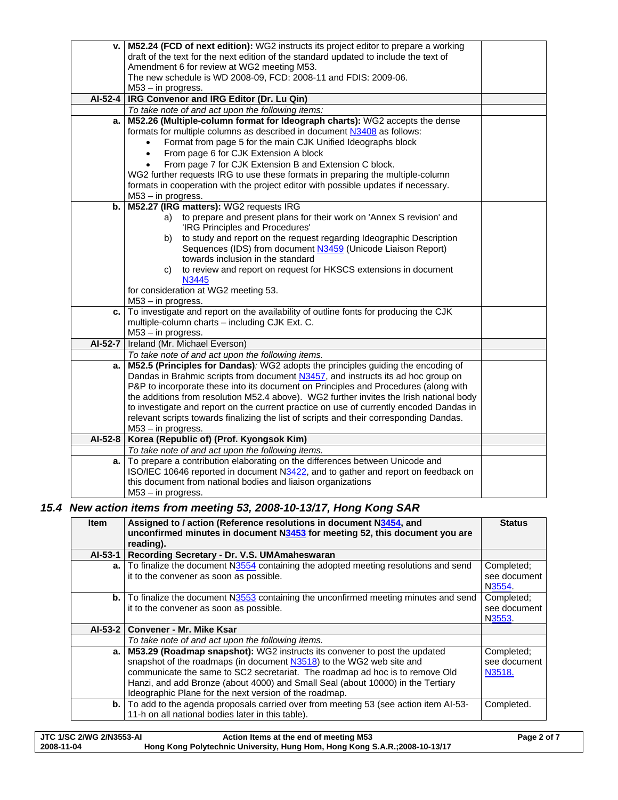|           | v.   M52.24 (FCD of next edition): WG2 instructs its project editor to prepare a working |  |
|-----------|------------------------------------------------------------------------------------------|--|
|           | draft of the text for the next edition of the standard updated to include the text of    |  |
|           | Amendment 6 for review at WG2 meeting M53.                                               |  |
|           | The new schedule is WD 2008-09, FCD: 2008-11 and FDIS: 2009-06.                          |  |
|           | M53 - in progress.                                                                       |  |
| AI-52-4   | IRG Convenor and IRG Editor (Dr. Lu Qin)                                                 |  |
|           | To take note of and act upon the following items:                                        |  |
| a.        | M52.26 (Multiple-column format for Ideograph charts): WG2 accepts the dense              |  |
|           | formats for multiple columns as described in document N3408 as follows:                  |  |
|           | Format from page 5 for the main CJK Unified Ideographs block                             |  |
|           | From page 6 for CJK Extension A block<br>$\bullet$                                       |  |
|           | From page 7 for CJK Extension B and Extension C block.                                   |  |
|           | WG2 further requests IRG to use these formats in preparing the multiple-column           |  |
|           | formats in cooperation with the project editor with possible updates if necessary.       |  |
|           | M53 - in progress.                                                                       |  |
| b. I      | M52.27 (IRG matters): WG2 requests IRG                                                   |  |
|           | a) to prepare and present plans for their work on 'Annex S revision' and                 |  |
|           | 'IRG Principles and Procedures'                                                          |  |
|           | to study and report on the request regarding Ideographic Description<br>b)               |  |
|           | Sequences (IDS) from document N3459 (Unicode Liaison Report)                             |  |
|           | towards inclusion in the standard                                                        |  |
|           | to review and report on request for HKSCS extensions in document<br>C)                   |  |
|           | N3445                                                                                    |  |
|           | for consideration at WG2 meeting 53.                                                     |  |
|           | $M53 - in progress.$                                                                     |  |
| c.        | To investigate and report on the availability of outline fonts for producing the CJK     |  |
|           | multiple-column charts - including CJK Ext. C.<br>M53 - in progress.                     |  |
|           | AI-52-7   Ireland (Mr. Michael Everson)                                                  |  |
|           | To take note of and act upon the following items.                                        |  |
| a.        | M52.5 (Principles for Dandas): WG2 adopts the principles guiding the encoding of         |  |
|           | Dandas in Brahmic scripts from document N3457, and instructs its ad hoc group on         |  |
|           | P&P to incorporate these into its document on Principles and Procedures (along with      |  |
|           | the additions from resolution M52.4 above). WG2 further invites the Irish national body  |  |
|           | to investigate and report on the current practice on use of currently encoded Dandas in  |  |
|           | relevant scripts towards finalizing the list of scripts and their corresponding Dandas.  |  |
|           | M53 - in progress.                                                                       |  |
| $AI-52-8$ | Korea (Republic of) (Prof. Kyongsok Kim)                                                 |  |
|           | To take note of and act upon the following items.                                        |  |
|           | a. To prepare a contribution elaborating on the differences between Unicode and          |  |
|           | ISO/IEC 10646 reported in document N3422, and to gather and report on feedback on        |  |
|           | this document from national bodies and liaison organizations                             |  |
|           | $M53 - in progress.$                                                                     |  |

# *15.4 New action items from meeting 53, 2008-10-13/17, Hong Kong SAR*

| <b>Item</b> | Assigned to / action (Reference resolutions in document N3454, and<br>unconfirmed minutes in document N3453 for meeting 52, this document you are<br>reading).                                                                                                                                                                                                                    | <b>Status</b>                        |
|-------------|-----------------------------------------------------------------------------------------------------------------------------------------------------------------------------------------------------------------------------------------------------------------------------------------------------------------------------------------------------------------------------------|--------------------------------------|
|             | Al-53-1 Recording Secretary - Dr. V.S. UMAmaheswaran                                                                                                                                                                                                                                                                                                                              |                                      |
|             | a. To finalize the document N3554 containing the adopted meeting resolutions and send<br>it to the convener as soon as possible.                                                                                                                                                                                                                                                  | Completed:<br>see document<br>N3554. |
|             | <b>b.</b> To finalize the document N3553 containing the unconfirmed meeting minutes and send<br>it to the convener as soon as possible.                                                                                                                                                                                                                                           | Completed;<br>see document<br>N3553. |
|             | Al-53-2   Convener - Mr. Mike Ksar                                                                                                                                                                                                                                                                                                                                                |                                      |
|             | To take note of and act upon the following items.                                                                                                                                                                                                                                                                                                                                 |                                      |
|             | a. M53.29 (Roadmap snapshot): WG2 instructs its convener to post the updated<br>snapshot of the roadmaps (in document N3518) to the WG2 web site and<br>communicate the same to SC2 secretariat. The roadmap ad hoc is to remove Old<br>Hanzi, and add Bronze (about 4000) and Small Seal (about 10000) in the Tertiary<br>Ideographic Plane for the next version of the roadmap. | Completed:<br>see document<br>N3518. |
|             | <b>b.</b> To add to the agenda proposals carried over from meeting 53 (see action item Al-53-<br>11-h on all national bodies later in this table).                                                                                                                                                                                                                                | Completed.                           |

| JTC 1/SC 2/WG 2/N3553-AI | Action Items at the end of meeting M53                                     | Page 2 of 7 |
|--------------------------|----------------------------------------------------------------------------|-------------|
| 2008-11-04               | Hong Kong Polytechnic University, Hung Hom, Hong Kong S.A.R.;2008-10-13/17 |             |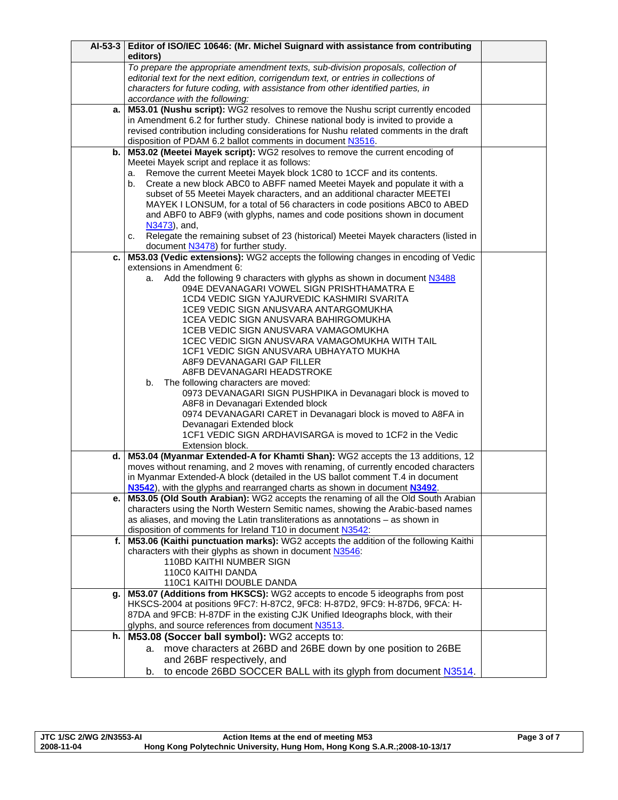|    | Al-53-3 Editor of ISO/IEC 10646: (Mr. Michel Suignard with assistance from contributing<br>editors) |  |
|----|-----------------------------------------------------------------------------------------------------|--|
|    | To prepare the appropriate amendment texts, sub-division proposals, collection of                   |  |
|    | editorial text for the next edition, corrigendum text, or entries in collections of                 |  |
|    | characters for future coding, with assistance from other identified parties, in                     |  |
|    | accordance with the following:                                                                      |  |
| a. | M53.01 (Nushu script): WG2 resolves to remove the Nushu script currently encoded                    |  |
|    | in Amendment 6.2 for further study. Chinese national body is invited to provide a                   |  |
|    | revised contribution including considerations for Nushu related comments in the draft               |  |
|    | disposition of PDAM 6.2 ballot comments in document N3516.                                          |  |
| b. | M53.02 (Meetei Mayek script): WG2 resolves to remove the current encoding of                        |  |
|    | Meetei Mayek script and replace it as follows:                                                      |  |
|    | Remove the current Meetei Mayek block 1C80 to 1CCF and its contents.<br>a.                          |  |
|    | Create a new block ABC0 to ABFF named Meetei Mayek and populate it with a<br>b.                     |  |
|    | subset of 55 Meetei Mayek characters, and an additional character MEETEI                            |  |
|    | MAYEK I LONSUM, for a total of 56 characters in code positions ABC0 to ABED                         |  |
|    | and ABF0 to ABF9 (with glyphs, names and code positions shown in document<br>N3473), and,           |  |
|    | Relegate the remaining subset of 23 (historical) Meetei Mayek characters (listed in                 |  |
|    | C.<br>document N3478) for further study.                                                            |  |
| c. | M53.03 (Vedic extensions): WG2 accepts the following changes in encoding of Vedic                   |  |
|    | extensions in Amendment 6:                                                                          |  |
|    | Add the following 9 characters with glyphs as shown in document N3488<br>a.                         |  |
|    | 094E DEVANAGARI VOWEL SIGN PRISHTHAMATRA E                                                          |  |
|    | 1CD4 VEDIC SIGN YAJURVEDIC KASHMIRI SVARITA                                                         |  |
|    | 1CE9 VEDIC SIGN ANUSVARA ANTARGOMUKHA                                                               |  |
|    | 1CEA VEDIC SIGN ANUSVARA BAHIRGOMUKHA                                                               |  |
|    | 1CEB VEDIC SIGN ANUSVARA VAMAGOMUKHA                                                                |  |
|    | 1CEC VEDIC SIGN ANUSVARA VAMAGOMUKHA WITH TAIL                                                      |  |
|    | 1CF1 VEDIC SIGN ANUSVARA UBHAYATO MUKHA                                                             |  |
|    | A8F9 DEVANAGARI GAP FILLER                                                                          |  |
|    | A8FB DEVANAGARI HEADSTROKE                                                                          |  |
|    | The following characters are moved:<br>b.                                                           |  |
|    | 0973 DEVANAGARI SIGN PUSHPIKA in Devanagari block is moved to                                       |  |
|    | A8F8 in Devanagari Extended block                                                                   |  |
|    | 0974 DEVANAGARI CARET in Devanagari block is moved to A8FA in                                       |  |
|    | Devanagari Extended block                                                                           |  |
|    | 1CF1 VEDIC SIGN ARDHAVISARGA is moved to 1CF2 in the Vedic<br>Extension block.                      |  |
| d. | M53.04 (Myanmar Extended-A for Khamti Shan): WG2 accepts the 13 additions, 12                       |  |
|    | moves without renaming, and 2 moves with renaming, of currently encoded characters                  |  |
|    | in Myanmar Extended-A block (detailed in the US ballot comment T.4 in document                      |  |
|    | N3542), with the glyphs and rearranged charts as shown in document N3492.                           |  |
| е. | M53.05 (Old South Arabian): WG2 accepts the renaming of all the Old South Arabian                   |  |
|    | characters using the North Western Semitic names, showing the Arabic-based names                    |  |
|    | as aliases, and moving the Latin transliterations as annotations - as shown in                      |  |
|    | disposition of comments for Ireland T10 in document N3542.                                          |  |
|    | f.   M53.06 (Kaithi punctuation marks): WG2 accepts the addition of the following Kaithi            |  |
|    | characters with their glyphs as shown in document N3546:                                            |  |
|    | 110BD KAITHI NUMBER SIGN                                                                            |  |
|    | 110C0 KAITHI DANDA                                                                                  |  |
|    | 110C1 KAITHI DOUBLE DANDA                                                                           |  |
| g. | M53.07 (Additions from HKSCS): WG2 accepts to encode 5 ideographs from post                         |  |
|    | HKSCS-2004 at positions 9FC7: H-87C2, 9FC8: H-87D2, 9FC9: H-87D6, 9FCA: H-                          |  |
|    | 87DA and 9FCB: H-87DF in the existing CJK Unified Ideographs block, with their                      |  |
|    | glyphs, and source references from document N3513.                                                  |  |
| h. | M53.08 (Soccer ball symbol): WG2 accepts to:                                                        |  |
|    | move characters at 26BD and 26BE down by one position to 26BE<br>a.                                 |  |
|    | and 26BF respectively, and                                                                          |  |
|    | to encode 26BD SOCCER BALL with its glyph from document N3514.<br>b.                                |  |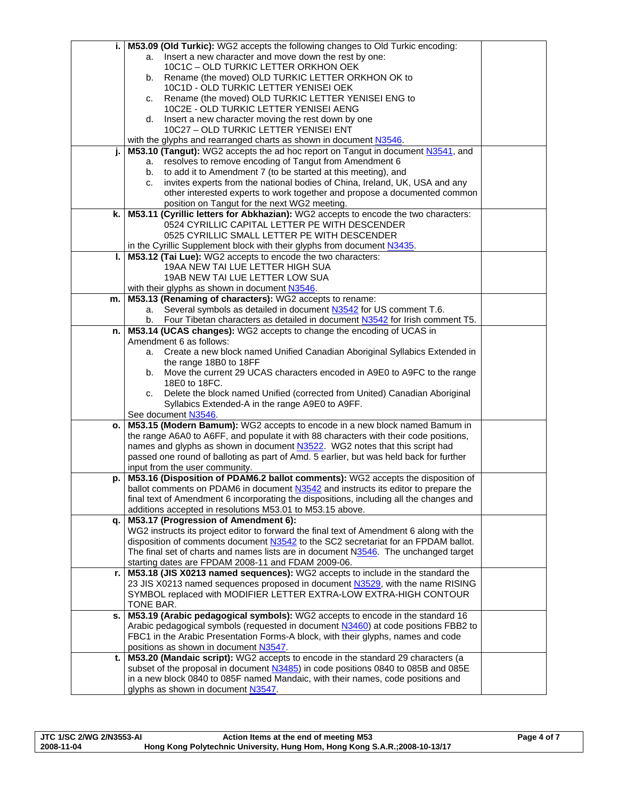| i. I | M53.09 (Old Turkic): WG2 accepts the following changes to Old Turkic encoding:                                                            |  |
|------|-------------------------------------------------------------------------------------------------------------------------------------------|--|
|      | Insert a new character and move down the rest by one:<br>a.                                                                               |  |
|      | 10C1C - OLD TURKIC LETTER ORKHON OEK                                                                                                      |  |
|      | Rename (the moved) OLD TURKIC LETTER ORKHON OK to<br>b.                                                                                   |  |
|      | 10C1D - OLD TURKIC LETTER YENISEI OEK                                                                                                     |  |
|      | Rename (the moved) OLD TURKIC LETTER YENISEI ENG to<br>c.                                                                                 |  |
|      | 10C2E - OLD TURKIC LETTER YENISEI AENG                                                                                                    |  |
|      | Insert a new character moving the rest down by one<br>d.                                                                                  |  |
|      | 10C27 - OLD TURKIC LETTER YENISEI ENT                                                                                                     |  |
|      | with the glyphs and rearranged charts as shown in document N3546.                                                                         |  |
| j.   | M53.10 (Tangut): WG2 accepts the ad hoc report on Tangut in document N3541, and                                                           |  |
|      | resolves to remove encoding of Tangut from Amendment 6<br>a.                                                                              |  |
|      | to add it to Amendment 7 (to be started at this meeting), and<br>b.                                                                       |  |
|      | invites experts from the national bodies of China, Ireland, UK, USA and any<br>C.                                                         |  |
|      | other interested experts to work together and propose a documented common                                                                 |  |
|      | position on Tangut for the next WG2 meeting.                                                                                              |  |
| k.   | M53.11 (Cyrillic letters for Abkhazian): WG2 accepts to encode the two characters:                                                        |  |
|      | 0524 CYRILLIC CAPITAL LETTER PE WITH DESCENDER                                                                                            |  |
|      | 0525 CYRILLIC SMALL LETTER PE WITH DESCENDER                                                                                              |  |
|      | in the Cyrillic Supplement block with their glyphs from document N3435.                                                                   |  |
| ı.   | M53.12 (Tai Lue): WG2 accepts to encode the two characters:                                                                               |  |
|      | 19AA NEW TAI LUE LETTER HIGH SUA                                                                                                          |  |
|      | 19AB NEW TAI LUE LETTER LOW SUA                                                                                                           |  |
|      | with their glyphs as shown in document N3546.                                                                                             |  |
| m.   | M53.13 (Renaming of characters): WG2 accepts to rename:<br>Several symbols as detailed in document N3542 for US comment T.6.<br>a.        |  |
|      | Four Tibetan characters as detailed in document N3542 for Irish comment T5.<br>b.                                                         |  |
| n.   | M53.14 (UCAS changes): WG2 accepts to change the encoding of UCAS in                                                                      |  |
|      | Amendment 6 as follows:                                                                                                                   |  |
|      | Create a new block named Unified Canadian Aboriginal Syllabics Extended in<br>a.                                                          |  |
|      | the range 18B0 to 18FF                                                                                                                    |  |
|      | Move the current 29 UCAS characters encoded in A9E0 to A9FC to the range<br>b.                                                            |  |
|      | 18E0 to 18FC.                                                                                                                             |  |
|      | Delete the block named Unified (corrected from United) Canadian Aboriginal<br>c.                                                          |  |
|      | Syllabics Extended-A in the range A9E0 to A9FF.                                                                                           |  |
|      | See document N3546.                                                                                                                       |  |
| o. l | M53.15 (Modern Bamum): WG2 accepts to encode in a new block named Bamum in                                                                |  |
|      | the range A6A0 to A6FF, and populate it with 88 characters with their code positions,                                                     |  |
|      | names and glyphs as shown in document N3522. WG2 notes that this script had                                                               |  |
|      | passed one round of balloting as part of Amd. 5 earlier, but was held back for further                                                    |  |
|      | input from the user community.                                                                                                            |  |
| p.   | M53.16 (Disposition of PDAM6.2 ballot comments): WG2 accepts the disposition of                                                           |  |
|      | ballot comments on PDAM6 in document N3542 and instructs its editor to prepare the                                                        |  |
|      | final text of Amendment 6 incorporating the dispositions, including all the changes and                                                   |  |
|      | additions accepted in resolutions M53.01 to M53.15 above.                                                                                 |  |
| q.   | M53.17 (Progression of Amendment 6):                                                                                                      |  |
|      | WG2 instructs its project editor to forward the final text of Amendment 6 along with the                                                  |  |
|      | disposition of comments document N3542 to the SC2 secretariat for an FPDAM ballot.                                                        |  |
|      | The final set of charts and names lists are in document N3546. The unchanged target<br>starting dates are FPDAM 2008-11 and FDAM 2009-06. |  |
| r.   | M53.18 (JIS X0213 named sequences): WG2 accepts to include in the standard the                                                            |  |
|      | 23 JIS X0213 named sequences proposed in document N3529, with the name RISING                                                             |  |
|      | SYMBOL replaced with MODIFIER LETTER EXTRA-LOW EXTRA-HIGH CONTOUR                                                                         |  |
|      | TONE BAR.                                                                                                                                 |  |
| s.   | M53.19 (Arabic pedagogical symbols): WG2 accepts to encode in the standard 16                                                             |  |
|      | Arabic pedagogical symbols (requested in document N3460) at code positions FBB2 to                                                        |  |
|      | FBC1 in the Arabic Presentation Forms-A block, with their glyphs, names and code                                                          |  |
|      | positions as shown in document N3547.                                                                                                     |  |
| t.   | M53.20 (Mandaic script): WG2 accepts to encode in the standard 29 characters (a                                                           |  |
|      | subset of the proposal in document N3485) in code positions 0840 to 085B and 085E                                                         |  |
|      | in a new block 0840 to 085F named Mandaic, with their names, code positions and                                                           |  |
|      | glyphs as shown in document N3547.                                                                                                        |  |

| <b>JTC 1/SC 2/WG 2/N3553-AI</b> | Action Items at the end of meeting M53                                     | Page 4 of 7 |
|---------------------------------|----------------------------------------------------------------------------|-------------|
| 2008-11-04                      | Hong Kong Polytechnic University, Hung Hom, Hong Kong S.A.R.;2008-10-13/17 |             |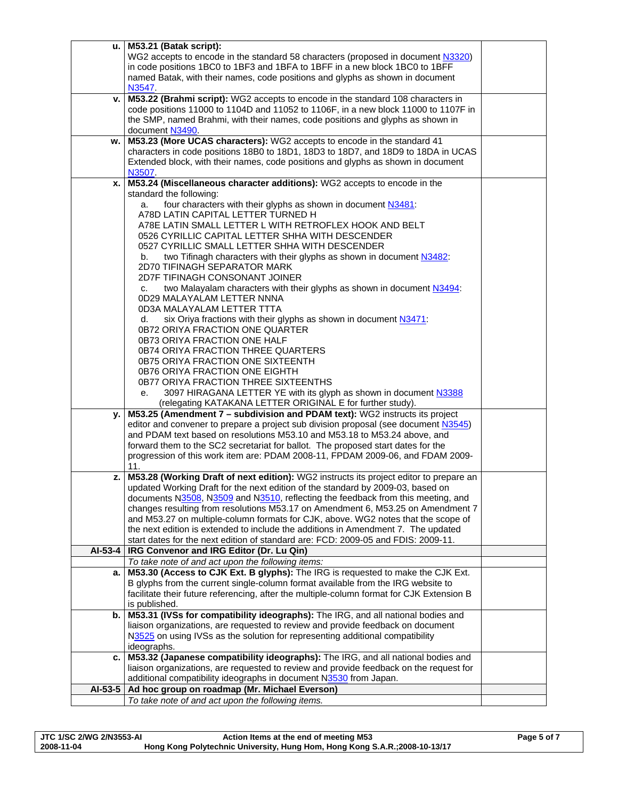|           | $u.$ M53.21 (Batak script):                                                                                                                                         |  |
|-----------|---------------------------------------------------------------------------------------------------------------------------------------------------------------------|--|
|           | WG2 accepts to encode in the standard 58 characters (proposed in document N3320)                                                                                    |  |
|           | in code positions 1BC0 to 1BF3 and 1BFA to 1BFF in a new block 1BC0 to 1BFF                                                                                         |  |
|           | named Batak, with their names, code positions and glyphs as shown in document                                                                                       |  |
|           | N3547.                                                                                                                                                              |  |
| v. I      | M53.22 (Brahmi script): WG2 accepts to encode in the standard 108 characters in                                                                                     |  |
|           | code positions 11000 to 1104D and 11052 to 1106F, in a new block 11000 to 1107F in                                                                                  |  |
|           | the SMP, named Brahmi, with their names, code positions and glyphs as shown in                                                                                      |  |
|           | document N3490.                                                                                                                                                     |  |
| W.        | M53.23 (More UCAS characters): WG2 accepts to encode in the standard 41                                                                                             |  |
|           | characters in code positions 18B0 to 18D1, 18D3 to 18D7, and 18D9 to 18DA in UCAS                                                                                   |  |
|           | Extended block, with their names, code positions and glyphs as shown in document                                                                                    |  |
|           | N3507<br>M53.24 (Miscellaneous character additions): WG2 accepts to encode in the                                                                                   |  |
| x.1       | standard the following:                                                                                                                                             |  |
|           | four characters with their glyphs as shown in document N3481.<br>a.                                                                                                 |  |
|           | A78D LATIN CAPITAL LETTER TURNED H                                                                                                                                  |  |
|           | A78E LATIN SMALL LETTER L WITH RETROFLEX HOOK AND BELT                                                                                                              |  |
|           | 0526 CYRILLIC CAPITAL LETTER SHHA WITH DESCENDER                                                                                                                    |  |
|           | 0527 CYRILLIC SMALL LETTER SHHA WITH DESCENDER                                                                                                                      |  |
|           | two Tifinagh characters with their glyphs as shown in document N3482:<br>b.                                                                                         |  |
|           | 2D70 TIFINAGH SEPARATOR MARK                                                                                                                                        |  |
|           | 2D7F TIFINAGH CONSONANT JOINER                                                                                                                                      |  |
|           | two Malayalam characters with their glyphs as shown in document N3494:<br>C.                                                                                        |  |
|           | 0D29 MALAYALAM LETTER NNNA                                                                                                                                          |  |
|           | 0D3A MALAYALAM LETTER TTTA                                                                                                                                          |  |
|           | six Oriya fractions with their glyphs as shown in document N3471:<br>d.                                                                                             |  |
|           | 0B72 ORIYA FRACTION ONE QUARTER                                                                                                                                     |  |
|           | 0B73 ORIYA FRACTION ONE HALF                                                                                                                                        |  |
|           | 0B74 ORIYA FRACTION THREE QUARTERS                                                                                                                                  |  |
|           | 0B75 ORIYA FRACTION ONE SIXTEENTH                                                                                                                                   |  |
|           | 0B76 ORIYA FRACTION ONE EIGHTH                                                                                                                                      |  |
|           | 0B77 ORIYA FRACTION THREE SIXTEENTHS                                                                                                                                |  |
|           | 3097 HIRAGANA LETTER YE with its glyph as shown in document N3388<br>е.                                                                                             |  |
|           | (relegating KATAKANA LETTER ORIGINAL E for further study).                                                                                                          |  |
| y.        | M53.25 (Amendment 7 - subdivision and PDAM text): WG2 instructs its project                                                                                         |  |
|           | editor and convener to prepare a project sub division proposal (see document N3545)                                                                                 |  |
|           | and PDAM text based on resolutions M53.10 and M53.18 to M53.24 above, and                                                                                           |  |
|           | forward them to the SC2 secretariat for ballot. The proposed start dates for the                                                                                    |  |
|           | progression of this work item are: PDAM 2008-11, FPDAM 2009-06, and FDAM 2009-                                                                                      |  |
|           | 11.                                                                                                                                                                 |  |
| z. I      | M53.28 (Working Draft of next edition): WG2 instructs its project editor to prepare an                                                                              |  |
|           | updated Working Draft for the next edition of the standard by 2009-03, based on<br>documents N3508, N3509 and N3510, reflecting the feedback from this meeting, and |  |
|           | changes resulting from resolutions M53.17 on Amendment 6, M53.25 on Amendment 7                                                                                     |  |
|           | and M53.27 on multiple-column formats for CJK, above. WG2 notes that the scope of                                                                                   |  |
|           | the next edition is extended to include the additions in Amendment 7. The updated                                                                                   |  |
|           | start dates for the next edition of standard are: FCD: 2009-05 and FDIS: 2009-11.                                                                                   |  |
| $AI-53-4$ | IRG Convenor and IRG Editor (Dr. Lu Qin)                                                                                                                            |  |
|           | To take note of and act upon the following items:                                                                                                                   |  |
|           | a.   M53.30 (Access to CJK Ext. B glyphs): The IRG is requested to make the CJK Ext.                                                                                |  |
|           | B glyphs from the current single-column format available from the IRG website to                                                                                    |  |
|           | facilitate their future referencing, after the multiple-column format for CJK Extension B                                                                           |  |
|           | is published.                                                                                                                                                       |  |
| b. I      | M53.31 (IVSs for compatibility ideographs): The IRG, and all national bodies and                                                                                    |  |
|           | liaison organizations, are requested to review and provide feedback on document                                                                                     |  |
|           | N3525 on using IVSs as the solution for representing additional compatibility                                                                                       |  |
|           | ideographs.                                                                                                                                                         |  |
|           | c.   M53.32 (Japanese compatibility ideographs): The IRG, and all national bodies and                                                                               |  |
|           | liaison organizations, are requested to review and provide feedback on the request for                                                                              |  |
|           | additional compatibility ideographs in document N3530 from Japan.                                                                                                   |  |
| AI-53-5   | Ad hoc group on roadmap (Mr. Michael Everson)                                                                                                                       |  |
|           | To take note of and act upon the following items.                                                                                                                   |  |

| JTC 1/SC 2/WG 2/N3553-AI | Action Items at the end of meeting M53                                     | Page 5 of 7 |
|--------------------------|----------------------------------------------------------------------------|-------------|
| 2008-11-04               | Hong Kong Polytechnic University, Hung Hom, Hong Kong S.A.R.;2008-10-13/17 |             |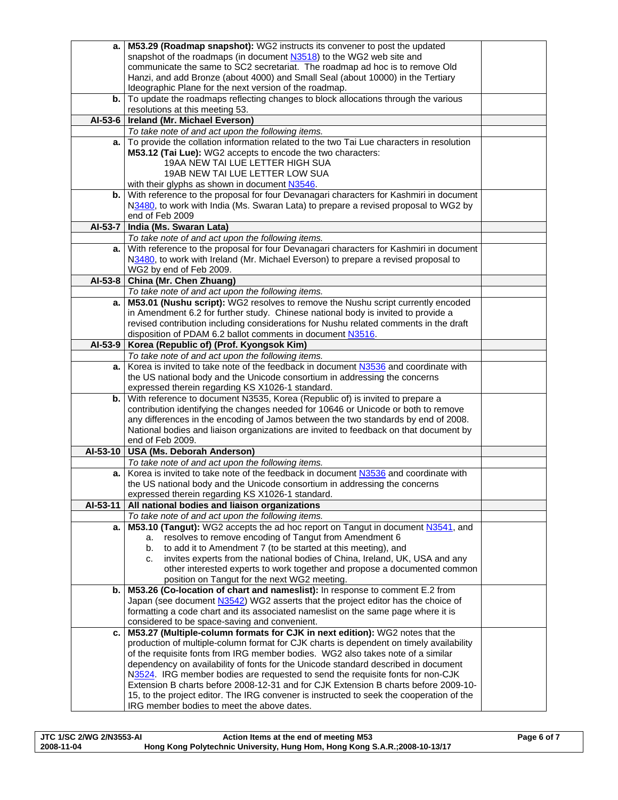|          | a.   M53.29 (Roadmap snapshot): WG2 instructs its convener to post the updated                                                                                             |  |
|----------|----------------------------------------------------------------------------------------------------------------------------------------------------------------------------|--|
|          | snapshot of the roadmaps (in document N3518) to the WG2 web site and                                                                                                       |  |
|          | communicate the same to SC2 secretariat. The roadmap ad hoc is to remove Old                                                                                               |  |
|          | Hanzi, and add Bronze (about 4000) and Small Seal (about 10000) in the Tertiary                                                                                            |  |
|          | Ideographic Plane for the next version of the roadmap.                                                                                                                     |  |
|          | b. To update the roadmaps reflecting changes to block allocations through the various                                                                                      |  |
|          | resolutions at this meeting 53.                                                                                                                                            |  |
| AI-53-6  | Ireland (Mr. Michael Everson)                                                                                                                                              |  |
|          | To take note of and act upon the following items.                                                                                                                          |  |
|          | a. To provide the collation information related to the two Tai Lue characters in resolution                                                                                |  |
|          | M53.12 (Tai Lue): WG2 accepts to encode the two characters:                                                                                                                |  |
|          | 19AA NEW TAI LUE LETTER HIGH SUA                                                                                                                                           |  |
|          | 19AB NEW TAI LUE LETTER LOW SUA                                                                                                                                            |  |
|          | with their glyphs as shown in document N3546.                                                                                                                              |  |
|          | b. With reference to the proposal for four Devanagari characters for Kashmiri in document                                                                                  |  |
|          | N3480, to work with India (Ms. Swaran Lata) to prepare a revised proposal to WG2 by                                                                                        |  |
|          | end of Feb 2009                                                                                                                                                            |  |
| AI-53-7  | India (Ms. Swaran Lata)                                                                                                                                                    |  |
|          | To take note of and act upon the following items.                                                                                                                          |  |
|          | a. With reference to the proposal for four Devanagari characters for Kashmiri in document                                                                                  |  |
|          | N3480, to work with Ireland (Mr. Michael Everson) to prepare a revised proposal to                                                                                         |  |
|          | WG2 by end of Feb 2009.                                                                                                                                                    |  |
| AI-53-8  | China (Mr. Chen Zhuang)                                                                                                                                                    |  |
|          | To take note of and act upon the following items.                                                                                                                          |  |
| a. I     | M53.01 (Nushu script): WG2 resolves to remove the Nushu script currently encoded                                                                                           |  |
|          | in Amendment 6.2 for further study. Chinese national body is invited to provide a<br>revised contribution including considerations for Nushu related comments in the draft |  |
|          | disposition of PDAM 6.2 ballot comments in document N3516.                                                                                                                 |  |
| AI-53-9  | Korea (Republic of) (Prof. Kyongsok Kim)                                                                                                                                   |  |
|          | To take note of and act upon the following items.                                                                                                                          |  |
|          | a. Korea is invited to take note of the feedback in document N3536 and coordinate with                                                                                     |  |
|          | the US national body and the Unicode consortium in addressing the concerns                                                                                                 |  |
|          | expressed therein regarding KS X1026-1 standard.                                                                                                                           |  |
|          | b. With reference to document N3535, Korea (Republic of) is invited to prepare a                                                                                           |  |
|          | contribution identifying the changes needed for 10646 or Unicode or both to remove                                                                                         |  |
|          | any differences in the encoding of Jamos between the two standards by end of 2008.                                                                                         |  |
|          | National bodies and liaison organizations are invited to feedback on that document by                                                                                      |  |
|          | end of Feb 2009.                                                                                                                                                           |  |
| AI-53-10 | <b>USA (Ms. Deborah Anderson)</b>                                                                                                                                          |  |
|          | To take note of and act upon the following items.                                                                                                                          |  |
| а.       | Korea is invited to take note of the feedback in document N3536 and coordinate with                                                                                        |  |
|          | the US national body and the Unicode consortium in addressing the concerns                                                                                                 |  |
|          | expressed therein regarding KS X1026-1 standard.                                                                                                                           |  |
| AI-53-11 | All national bodies and liaison organizations                                                                                                                              |  |
|          | To take note of and act upon the following items.                                                                                                                          |  |
| a.       | M53.10 (Tangut): WG2 accepts the ad hoc report on Tangut in document N3541, and                                                                                            |  |
|          | resolves to remove encoding of Tangut from Amendment 6<br>a.                                                                                                               |  |
|          | to add it to Amendment 7 (to be started at this meeting), and<br>b.                                                                                                        |  |
|          | invites experts from the national bodies of China, Ireland, UK, USA and any<br>c.                                                                                          |  |
|          | other interested experts to work together and propose a documented common                                                                                                  |  |
|          | position on Tangut for the next WG2 meeting.<br>b.   M53.26 (Co-location of chart and nameslist): In response to comment E.2 from                                          |  |
|          | Japan (see document N3542) WG2 asserts that the project editor has the choice of                                                                                           |  |
|          | formatting a code chart and its associated nameslist on the same page where it is                                                                                          |  |
|          | considered to be space-saving and convenient.                                                                                                                              |  |
|          | c.   M53.27 (Multiple-column formats for CJK in next edition): WG2 notes that the                                                                                          |  |
|          | production of multiple-column format for CJK charts is dependent on timely availability                                                                                    |  |
|          | of the requisite fonts from IRG member bodies. WG2 also takes note of a similar                                                                                            |  |
|          | dependency on availability of fonts for the Unicode standard described in document                                                                                         |  |
|          | N3524. IRG member bodies are requested to send the requisite fonts for non-CJK                                                                                             |  |
|          | Extension B charts before 2008-12-31 and for CJK Extension B charts before 2009-10-                                                                                        |  |
|          | 15, to the project editor. The IRG convener is instructed to seek the cooperation of the                                                                                   |  |
|          | IRG member bodies to meet the above dates.                                                                                                                                 |  |
|          |                                                                                                                                                                            |  |

| <b>JTC 1/SC 2/WG 2/N3553-AI</b> | Action Items at the end of meeting M53                                     | Page 6 of 7 |
|---------------------------------|----------------------------------------------------------------------------|-------------|
| 2008-11-04                      | Hong Kong Polytechnic University, Hung Hom, Hong Kong S.A.R.;2008-10-13/17 |             |